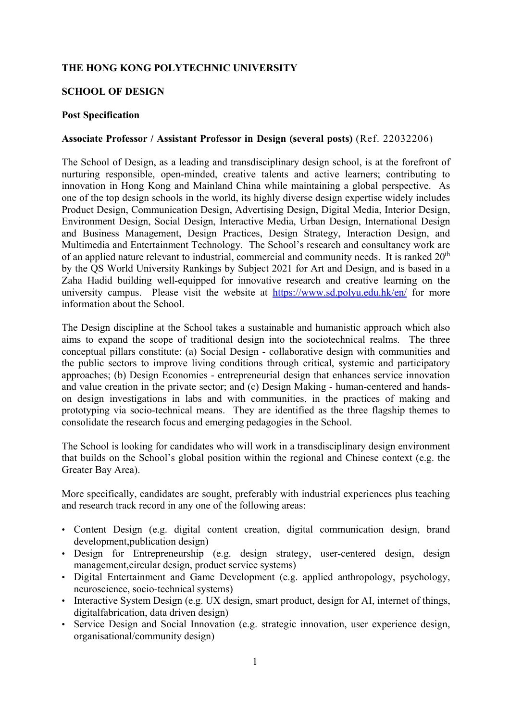### **THE HONG KONG POLYTECHNIC UNIVERSITY**

#### **SCHOOL OF DESIGN**

#### **Post Specification**

### **Associate Professor / Assistant Professor in Design (several posts)** (Ref. 22032206)

The School of Design, as a leading and transdisciplinary design school, is at the forefront of nurturing responsible, open-minded, creative talents and active learners; contributing to innovation in Hong Kong and Mainland China while maintaining a global perspective. As one of the top design schools in the world, its highly diverse design expertise widely includes Product Design, Communication Design, Advertising Design, Digital Media, Interior Design, Environment Design, Social Design, Interactive Media, Urban Design, International Design and Business Management, Design Practices, Design Strategy, Interaction Design, and Multimedia and Entertainment Technology. The School's research and consultancy work are of an applied nature relevant to industrial, commercial and community needs. It is ranked  $20<sup>th</sup>$ by the QS World University Rankings by Subject 2021 for Art and Design, and is based in a Zaha Hadid building well-equipped for innovative research and creative learning on the university campus. Please visit the website at https://www.sd.polyu.edu.hk/en/ for more information about the School.

The Design discipline at the School takes a sustainable and humanistic approach which also aims to expand the scope of traditional design into the sociotechnical realms. The three conceptual pillars constitute: (a) Social Design - collaborative design with communities and the public sectors to improve living conditions through critical, systemic and participatory approaches; (b) Design Economies - entrepreneurial design that enhances service innovation and value creation in the private sector; and (c) Design Making - human-centered and handson design investigations in labs and with communities, in the practices of making and prototyping via socio-technical means. They are identified as the three flagship themes to consolidate the research focus and emerging pedagogies in the School.

The School is looking for candidates who will work in a transdisciplinary design environment that builds on the School's global position within the regional and Chinese context (e.g. the Greater Bay Area).

More specifically, candidates are sought, preferably with industrial experiences plus teaching and research track record in any one of the following areas:

- Content Design (e.g. digital content creation, digital communication design, brand development, publication design)
- Design for Entrepreneurship (e.g. design strategy, user-centered design, design management, circular design, product service systems)
- Digital Entertainment and Game Development (e.g. applied anthropology, psychology, neuroscience, socio-technical systems)
- Interactive System Design (e.g. UX design, smart product, design for AI, internet of things, digital fabrication, data driven design)
- Service Design and Social Innovation (e.g. strategic innovation, user experience design, organisational/community design)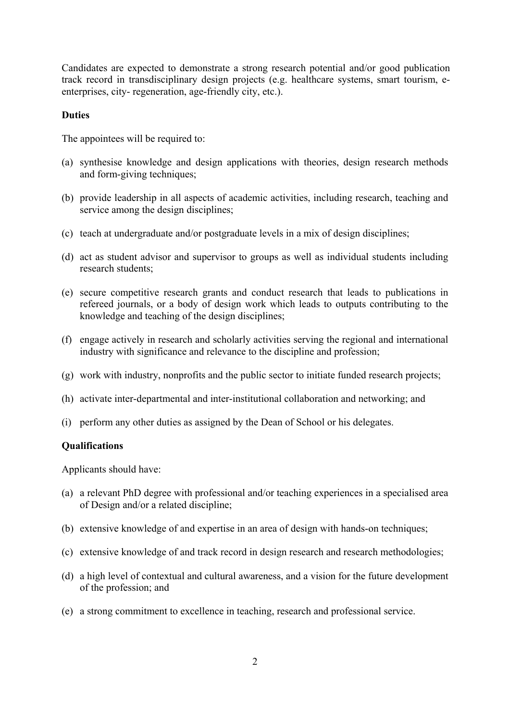Candidates are expected to demonstrate a strong research potential and/or good publication track record in transdisciplinary design projects (e.g. healthcare systems, smart tourism, eenterprises, city- regeneration, age-friendly city, etc.).

### **Duties**

The appointees will be required to:

- (a) synthesise knowledge and design applications with theories, design research methods and form-giving techniques;
- (b) provide leadership in all aspects of academic activities, including research, teaching and service among the design disciplines;
- (c) teach at undergraduate and/or postgraduate levels in a mix of design disciplines;
- (d) act as student advisor and supervisor to groups as well as individual students including research students;
- (e) secure competitive research grants and conduct research that leads to publications in refereed journals, or a body of design work which leads to outputs contributing to the knowledge and teaching of the design disciplines;
- (f) engage actively in research and scholarly activities serving the regional and international industry with significance and relevance to the discipline and profession;
- (g) work with industry, nonprofits and the public sector to initiate funded research projects;
- (h) activate inter-departmental and inter-institutional collaboration and networking; and
- (i) perform any other duties as assigned by the Dean of School or his delegates.

### **Qualifications**

Applicants should have:

- (a) a relevant PhD degree with professional and/or teaching experiences in a specialised area of Design and/or a related discipline;
- (b) extensive knowledge of and expertise in an area of design with hands-on techniques;
- (c) extensive knowledge of and track record in design research and research methodologies;
- (d) a high level of contextual and cultural awareness, and a vision for the future development of the profession; and
- (e) a strong commitment to excellence in teaching, research and professional service.